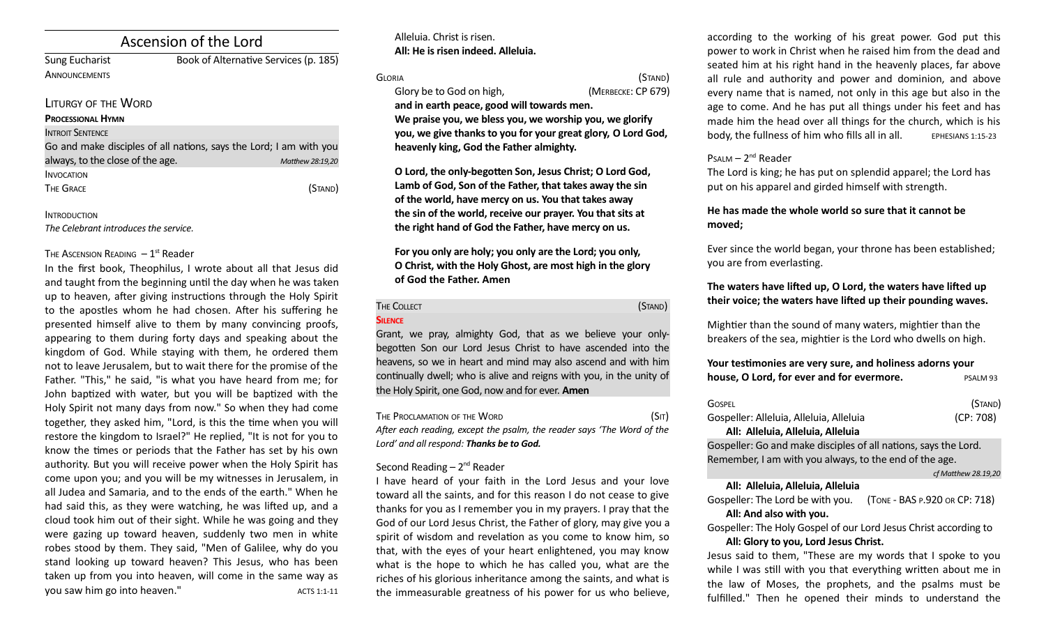# Ascension of the Lord

**ANNOUNCEMENTS** 

Sung Eucharist Book of Alternative Services (p. 185)

#### LITURGY OF THE WORD

#### **PROCESSIONAL HYMN**

#### **INTROIT SENTENCE**

| Go and make disciples of all nations, says the Lord; I am with you |                  |
|--------------------------------------------------------------------|------------------|
| always, to the close of the age.                                   | Matthew 28:19,20 |
| <b>INVOCATION</b>                                                  |                  |
| THE GRACE                                                          | (Stand)          |

**INTRODUCTION** 

*The Celebrant introduces the service.*

#### THE ASCENSION READING  $-1<sup>st</sup>$  Reader

In the frst book, Theophilus, I wrote about all that Jesus did and taught from the beginning until the day when he was taken up to heaven, after giving instructions through the Holy Spirit to the apostles whom he had chosen. After his suffering he presented himself alive to them by many convincing proofs, appearing to them during forty days and speaking about the kingdom of God. While staying with them, he ordered them not to leave Jerusalem, but to wait there for the promise of the Father. "This," he said, "is what you have heard from me; for John baptized with water, but you will be baptized with the Holy Spirit not many days from now." So when they had come together, they asked him, "Lord, is this the time when you will restore the kingdom to Israel?" He replied, "It is not for you to know the times or periods that the Father has set by his own authority. But you will receive power when the Holy Spirit has come upon you; and you will be my witnesses in Jerusalem, in all Judea and Samaria, and to the ends of the earth." When he had said this, as they were watching, he was lifed up, and a cloud took him out of their sight. While he was going and they were gazing up toward heaven, suddenly two men in white robes stood by them. They said, "Men of Galilee, why do you stand looking up toward heaven? This Jesus, who has been taken up from you into heaven, will come in the same way as you saw him go into heaven." ACTS 1:1-11

## Alleluia. Christ is risen. **All: He is risen indeed. Alleluia.**

| Gloria                                                  | (STAND)            |
|---------------------------------------------------------|--------------------|
| Glory be to God on high,                                | (MERBECKE: CP 679) |
| and in earth peace, good will towards men.              |                    |
| We praise you, we bless you, we worship you, we glorify |                    |

**you, we give thanks to you for your great glory, O Lord God, heavenly king, God the Father almighty.** 

**O Lord, the only-begoten Son, Jesus Christ; O Lord God, Lamb of God, Son of the Father, that takes away the sin of the world, have mercy on us. You that takes away the sin of the world, receive our prayer. You that sits at the right hand of God the Father, have mercy on us.** 

**For you only are holy; you only are the Lord; you only, O Christ, with the Holy Ghost, are most high in the glory of God the Father. Amen**

## THE COLLECT (STAND)

#### **SILENCE**

Grant, we pray, almighty God, that as we believe your onlybegotten Son our Lord Jesus Christ to have ascended into the heavens, so we in heart and mind may also ascend and with him continually dwell; who is alive and reigns with you, in the unity of the Holy Spirit, one God, now and for ever. **Amen**

THE PROCLAMATION OF THE WORD (SIT) *Afer each reading, except the psalm, the reader says 'The Word of the Lord' and all respond: Thanks be to God.* 

### Second Reading  $-2^{nd}$  Reader

I have heard of your faith in the Lord Jesus and your love toward all the saints, and for this reason I do not cease to give thanks for you as I remember you in my prayers. I pray that the God of our Lord Jesus Christ, the Father of glory, may give you a spirit of wisdom and revelation as you come to know him, so that, with the eyes of your heart enlightened, you may know what is the hope to which he has called you, what are the riches of his glorious inheritance among the saints, and what is the immeasurable greatness of his power for us who believe,

according to the working of his great power. God put this power to work in Christ when he raised him from the dead and seated him at his right hand in the heavenly places, far above all rule and authority and power and dominion, and above every name that is named, not only in this age but also in the age to come. And he has put all things under his feet and has made him the head over all things for the church, which is his body, the fullness of him who fills all in all. EPHESIANS 1:15-23

#### $P$ SALM –  $2^{nd}$  Reader

The Lord is king; he has put on splendid apparel; the Lord has put on his apparel and girded himself with strength.

## **He has made the whole world so sure that it cannot be moved;**

Ever since the world began, your throne has been established; you are from everlasting.

## **The waters have lifted up, O Lord, the waters have lifted up their voice; the waters have lifted up their pounding waves.**

Mightier than the sound of many waters, mightier than the breakers of the sea, mightier is the Lord who dwells on high.

#### **Your testimonies are very sure, and holiness adorns your house, O Lord, for ever and for evermore.** PSALM 93

| GOSPEL<br>Gospeller: Alleluia, Alleluia, Alleluia<br>All: Alleluia, Alleluia, Alleluia | (Stand)<br>(CP: 708)          |  |  |
|----------------------------------------------------------------------------------------|-------------------------------|--|--|
| Gospeller: Go and make disciples of all nations, says the Lord.                        |                               |  |  |
| Remember, I am with you always, to the end of the age.                                 |                               |  |  |
|                                                                                        | cf Matthew 28.19.20           |  |  |
| All: Alleluia, Alleluia, Alleluia                                                      |                               |  |  |
| Gospeller: The Lord be with you.                                                       | (TONE - BAS P.920 OR CP: 718) |  |  |
| All: And also with you.                                                                |                               |  |  |
| Gospeller: The Holy Gospel of our Lord Jesus Christ according to                       |                               |  |  |
| All: Glory to you, Lord Jesus Christ.                                                  |                               |  |  |

Jesus said to them, "These are my words that I spoke to you while I was still with you that everything written about me in the law of Moses, the prophets, and the psalms must be fulflled." Then he opened their minds to understand the